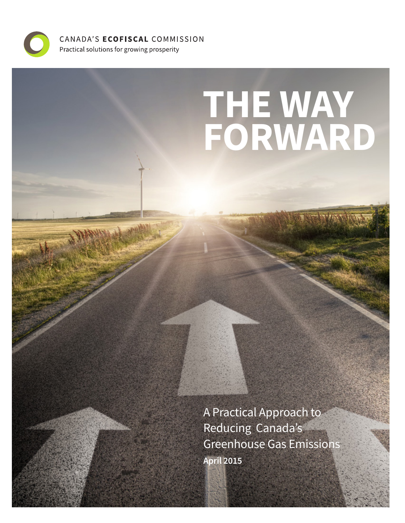

CANADA'S ECOFISCAL COMMISSION Practical solutions for growing prosperity

# **THE WAY FORWARD**

A Practical Approach to Reducing Canada's Greenhouse Gas Emissions **April 2015**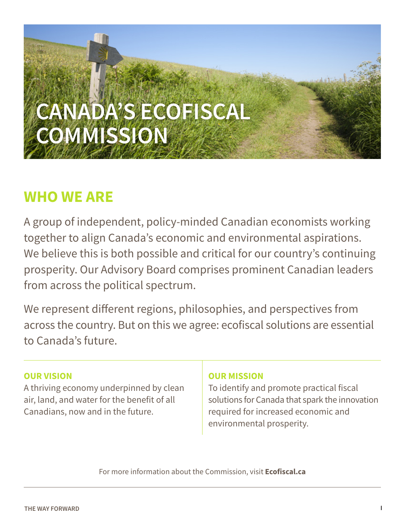

# **WHO WE ARE**

A group of independent, policy-minded Canadian economists working together to align Canada's economic and environmental aspirations. We believe this is both possible and critical for our country's continuing prosperity. Our Advisory Board comprises prominent Canadian leaders from across the political spectrum.

We represent different regions, philosophies, and perspectives from across the country. But on this we agree: ecofiscal solutions are essential to Canada's future.

## **OUR VISION**

A thriving economy underpinned by clean air, land, and water for the benefit of all Canadians, now and in the future.

## **OUR MISSION**

To identify and promote practical fiscal solutions for Canada that spark the innovation required for increased economic and environmental prosperity.

For more information about the Commission, visit **Ecofiscal.ca**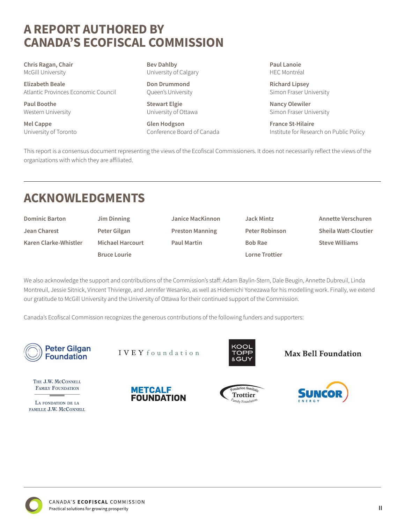## **A REPORT AUTHORED BY CANADA'S ECOFISCAL COMMISSION**

**Chris Ragan, Chair**  McGill University

**Elizabeth Beale** Atlantic Provinces Economic Council

**Paul Boothe** Western University

**Mel Cappe** University of Toronto **Bev Dahlby** University of Calgary

**Don Drummond** Queen's University

**Stewart Elgie** University of Ottawa

**Glen Hodgson** Conference Board of Canada **Paul Lanoie** HEC Montréal

**Richard Lipsey** Simon Fraser University

**Nancy Olewiler** Simon Fraser University

**France St-Hilaire** Institute for Research on Public Policy

This report is a consensus document representing the views of the Ecofiscal Commissioners. It does not necessarily reflect the views of the organizations with which they are affiliated.

# **ACKNOWLEDGMENTS**

| <b>Dominic Barton</b> |  |
|-----------------------|--|
| Jean Charest          |  |
| Karen Clarke-Whistler |  |

**Jim Dinning Peter Gilgan Michael Harcourt Bruce Lourie**

**Janice MacKinnon Preston Manning Paul Martin**

**Jack Mintz Peter Robinson Bob Rae Lorne Trottier**

**Annette Verschuren Sheila Watt-Cloutier Steve Williams**

We also acknowledge the support and contributions of the Commission's staff: Adam Baylin-Stern, Dale Beugin, Annette Dubreuil, Linda Montreuil, Jessie Sitnick, Vincent Thivierge, and Jennifer Wesanko, as well as Hidemichi Yonezawa for his modelling work. Finally, we extend our gratitude to McGill University and the University of Ottawa for their continued support of the Commission.

Canada's Ecofiscal Commission recognizes the generous contributions of the following funders and supporters:



IVEY foundation



**Max Bell Foundation** 

THE J.W. MCCONNELL FAMILY FOUNDATION

LA FONDATION DE LA FAMILLE J.W. MCCONNELL







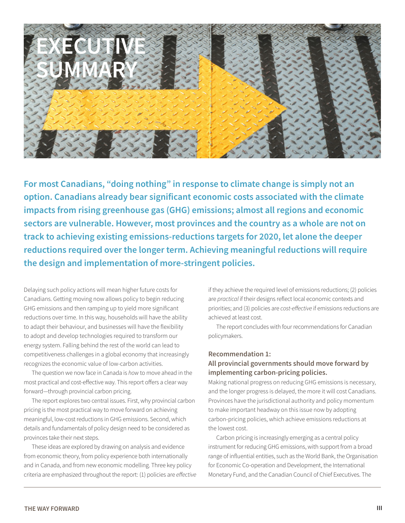

**For most Canadians, "doing nothing" in response to climate change is simply not an option. Canadians already bear significant economic costs associated with the climate impacts from rising greenhouse gas (GHG) emissions; almost all regions and economic sectors are vulnerable. However, most provinces and the country as a whole are not on track to achieving existing emissions-reductions targets for 2020, let alone the deeper reductions required over the longer term. Achieving meaningful reductions will require the design and implementation of more-stringent policies.** 

Delaying such policy actions will mean higher future costs for Canadians. Getting moving now allows policy to begin reducing GHG emissions and then ramping up to yield more significant reductions over time. In this way, households will have the ability to adapt their behaviour, and businesses will have the flexibility to adopt and develop technologies required to transform our energy system. Falling behind the rest of the world can lead to competitiveness challenges in a global economy that increasingly recognizes the economic value of low-carbon activities.

The question we now face in Canada is *how* to move ahead in the most practical and cost-effective way. This report offers a clear way forward—through provincial carbon pricing.

The report explores two central issues. First, why provincial carbon pricing is the most practical way to move forward on achieving meaningful, low-cost reductions in GHG emissions. Second, which details and fundamentals of policy design need to be considered as provinces take their next steps.

These ideas are explored by drawing on analysis and evidence from economic theory, from policy experience both internationally and in Canada, and from new economic modelling. Three key policy criteria are emphasized throughout the report: (1) policies are *effective* if they achieve the required level of emissions reductions; (2) policies are *practical* if their designs reflect local economic contexts and priorities; and (3) policies are *cost-effective* if emissions reductions are achieved at least cost.

The report concludes with four recommendations for Canadian policymakers.

### **Recommendation 1: All provincial governments should move forward by**

**implementing carbon-pricing policies.**  Making national progress on reducing GHG emissions is necessary,

and the longer progress is delayed, the more it will cost Canadians. Provinces have the jurisdictional authority and policy momentum to make important headway on this issue now by adopting carbon-pricing policies, which achieve emissions reductions at the lowest cost.

Carbon pricing is increasingly emerging as a central policy instrument for reducing GHG emissions, with support from a broad range of influential entities, such as the World Bank, the Organisation for Economic Co-operation and Development, the International Monetary Fund, and the Canadian Council of Chief Executives. The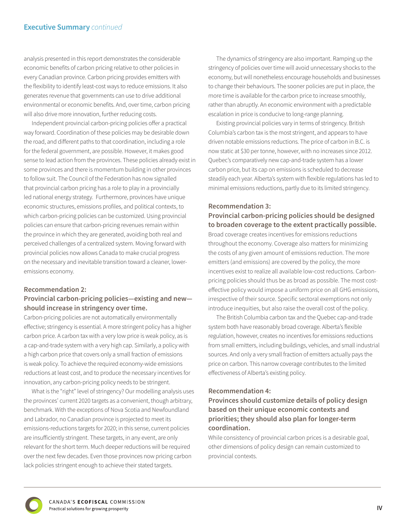analysis presented in this report demonstrates the considerable economic benefits of carbon pricing relative to other policies in every Canadian province. Carbon pricing provides emitters with the flexibility to identify least-cost ways to reduce emissions. It also generates revenue that governments can use to drive additional environmental or economic benefits. And, over time, carbon pricing will also drive more innovation, further reducing costs.

Independent provincial carbon-pricing policies offer a practical way forward. Coordination of these policies may be desirable down the road, and different paths to that coordination, including a role for the federal government, are possible. However, it makes good sense to lead action from the provinces. These policies already exist in some provinces and there is momentum building in other provinces to follow suit. The Council of the Federation has now signalled that provincial carbon pricing has a role to play in a provincially led national energy strategy. Furthermore, provinces have unique economic structures, emissions profiles, and political contexts, to which carbon-pricing policies can be customized. Using provincial policies can ensure that carbon-pricing revenues remain within the province in which they are generated, avoiding both real and perceived challenges of a centralized system. Moving forward with provincial policies now allows Canada to make crucial progress on the necessary and inevitable transition toward a cleaner, loweremissions economy.

#### **Recommendation 2:**

#### **Provincial carbon-pricing policies—existing and new should increase in stringency over time.**

Carbon-pricing policies are not automatically environmentally effective; stringency is essential. A more stringent policy has a higher carbon price. A carbon tax with a very low price is weak policy, as is a cap-and-trade system with a very high cap. Similarly, a policy with a high carbon price that covers only a small fraction of emissions is weak policy. To achieve the required economy-wide emissions reductions at least cost, and to produce the necessary incentives for innovation, any carbon-pricing policy needs to be stringent.

What is the "right" level of stringency? Our modelling analysis uses the provinces' current 2020 targets as a convenient, though arbitrary, benchmark. With the exceptions of Nova Scotia and Newfoundland and Labrador, no Canadian province is projected to meet its emissions-reductions targets for 2020; in this sense, current policies are insufficiently stringent. These targets, in any event, are only relevant for the short term. Much deeper reductions will be required over the next few decades. Even those provinces now pricing carbon lack policies stringent enough to achieve their stated targets.

The dynamics of stringency are also important. Ramping up the stringency of policies over time will avoid unnecessary shocks to the economy, but will nonetheless encourage households and businesses to change their behaviours. The sooner policies are put in place, the more time is available for the carbon price to increase smoothly, rather than abruptly. An economic environment with a predictable escalation in price is conducive to long-range planning.

Existing provincial policies vary in terms of stringency. British Columbia's carbon tax is the most stringent, and appears to have driven notable emissions reductions. The price of carbon in B.C. is now static at \$30 per tonne, however, with no increases since 2012. Quebec's comparatively new cap-and-trade system has a lower carbon price, but its cap on emissions is scheduled to decrease steadily each year. Alberta's system with flexible regulations has led to minimal emissions reductions, partly due to its limited stringency.

#### **Recommendation 3:**

#### **Provincial carbon-pricing policies should be designed to broaden coverage to the extent practically possible.**

Broad coverage creates incentives for emissions reductions throughout the economy. Coverage also matters for minimizing the costs of any given amount of emissions reduction. The more emitters (and emissions) are covered by the policy, the more incentives exist to realize all available low-cost reductions. Carbonpricing policies should thus be as broad as possible. The most costeffective policy would impose a uniform price on all GHG emissions, irrespective of their source. Specific sectoral exemptions not only introduce inequities, but also raise the overall cost of the policy.

The British Columbia carbon tax and the Quebec cap-and-trade system both have reasonably broad coverage. Alberta's flexible regulation, however, creates no incentives for emissions reductions from small emitters, including buildings, vehicles, and small industrial sources. And only a very small fraction of emitters actually pays the price on carbon. This narrow coverage contributes to the limited effectiveness of Alberta's existing policy.

#### **Recommendation 4:**

**Provinces should customize details of policy design based on their unique economic contexts and priorities; they should also plan for longer-term coordination.** 

While consistency of provincial carbon prices is a desirable goal, other dimensions of policy design can remain customized to provincial contexts.